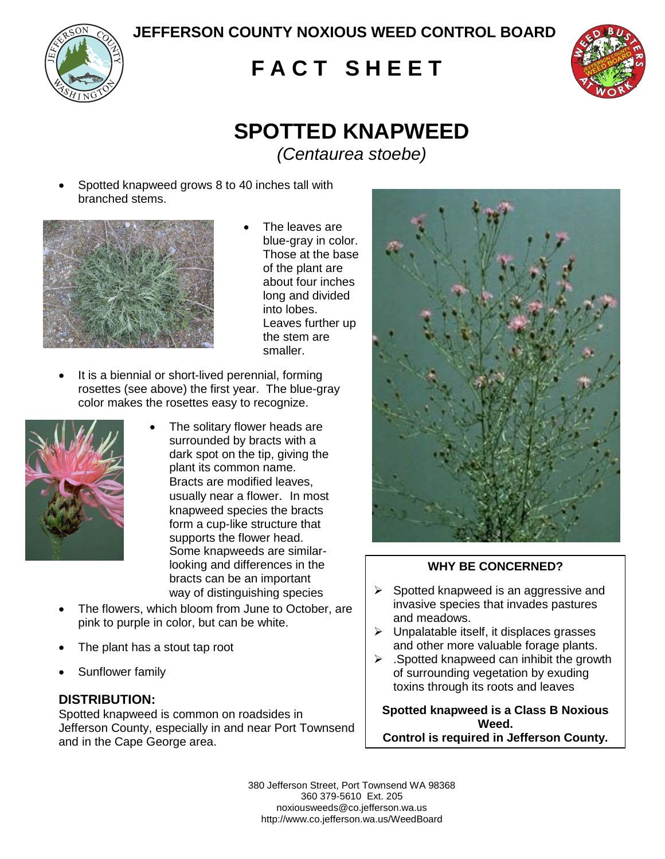**JEFFERSON COUNTY NOXIOUS WEED CONTROL BOARD**



# **F A C T S H E E T**



# **SPOTTED KNAPWEED** *(Centaurea stoebe)*

 Spotted knapweed grows 8 to 40 inches tall with branched stems.



- The leaves are blue-gray in color. Those at the base of the plant are about four inches long and divided into lobes. Leaves further up the stem are smaller.
- It is a biennial or short-lived perennial, forming rosettes (see above) the first year. The blue-gray color makes the rosettes easy to recognize.



- The solitary flower heads are surrounded by bracts with a dark spot on the tip, giving the plant its common name. Bracts are modified leaves, usually near a flower. In most knapweed species the bracts form a cup-like structure that supports the flower head. Some knapweeds are similarlooking and differences in the bracts can be an important way of distinguishing species
- The flowers, which bloom from June to October, are pink to purple in color, but can be white.
- The plant has a stout tap root
- Sunflower family

## **DISTRIBUTION:**

Spotted knapweed is common on roadsides in Jefferson County, especially in and near Port Townsend and in the Cape George area.



### **WHY BE CONCERNED?**

- $\triangleright$  Spotted knapweed is an aggressive and invasive species that invades pastures and meadows.
- $\triangleright$  Unpalatable itself, it displaces grasses and other more valuable forage plants.
- $\triangleright$  . Spotted knapweed can inhibit the growth of surrounding vegetation by exuding toxins through its roots and leaves

**Spotted knapweed is a Class B Noxious Weed. Control is required in Jefferson County.**

380 Jefferson Street, Port Townsend WA 98368 360 379-5610 Ext. 205 noxiousweeds@co.jefferson.wa.us http://www.co.jefferson.wa.us/WeedBoard